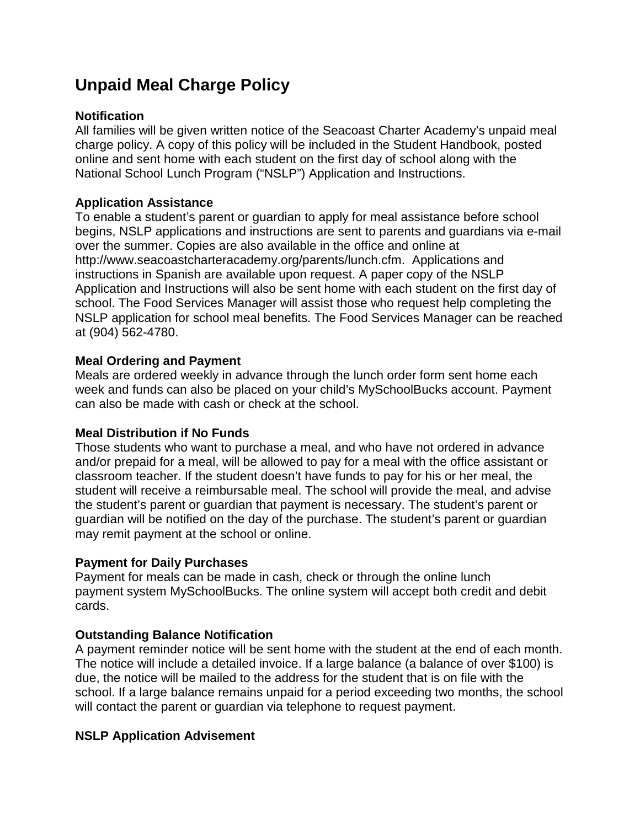# **Unpaid Meal Charge Policy**

### **Notification**

All families will be given written notice of the Seacoast Charter Academy's unpaid meal charge policy. A copy of this policy will be included in the Student Handbook, posted online and sent home with each student on the first day of school along with the National School Lunch Program ("NSLP") Application and Instructions.

## **Application Assistance**

To enable a student's parent or guardian to apply for meal assistance before school begins, NSLP applications and instructions are sent to parents and guardians via e-mail over the summer. Copies are also available in the office and online at http://www.seacoastcharteracademy.org/parents/lunch.cfm. Applications and instructions in Spanish are available upon request. A paper copy of the NSLP Application and Instructions will also be sent home with each student on the first day of school. The Food Services Manager will assist those who request help completing the NSLP application for school meal benefits. The Food Services Manager can be reached at (904) 562-4780.

### **Meal Ordering and Payment**

Meals are ordered weekly in advance through the lunch order form sent home each week and funds can also be placed on your child's MySchoolBucks account. Payment can also be made with cash or check at the school.

#### **Meal Distribution if No Funds**

Those students who want to purchase a meal, and who have not ordered in advance and/or prepaid for a meal, will be allowed to pay for a meal with the office assistant or classroom teacher. If the student doesn't have funds to pay for his or her meal, the student will receive a reimbursable meal. The school will provide the meal, and advise the student's parent or guardian that payment is necessary. The student's parent or guardian will be notified on the day of the purchase. The student's parent or guardian may remit payment at the school or online.

#### **Payment for Daily Purchases**

Payment for meals can be made in cash, check or through the online lunch payment system MySchoolBucks. The online system will accept both credit and debit cards.

#### **Outstanding Balance Notification**

A payment reminder notice will be sent home with the student at the end of each month. The notice will include a detailed invoice. If a large balance (a balance of over \$100) is due, the notice will be mailed to the address for the student that is on file with the school. If a large balance remains unpaid for a period exceeding two months, the school will contact the parent or guardian via telephone to request payment.

## **NSLP Application Advisement**